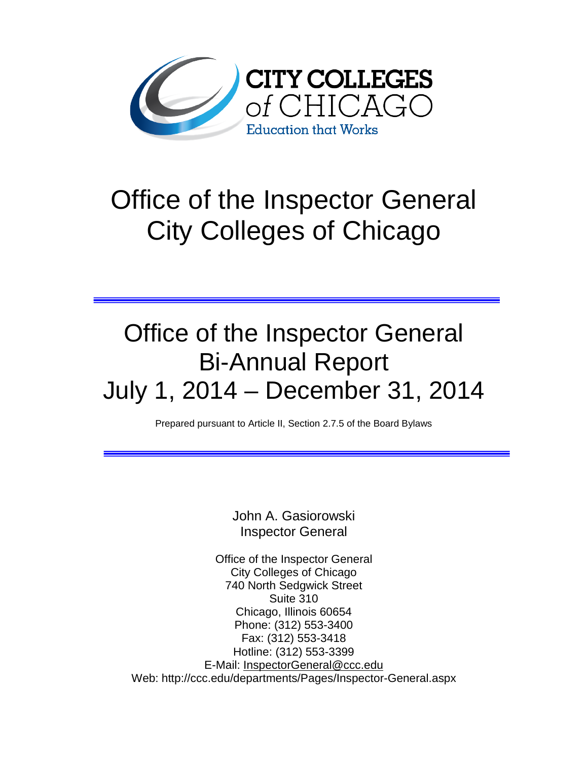

# Office of the Inspector General City Colleges of Chicago

# Office of the Inspector General Bi-Annual Report July 1, 2014 – December 31, 2014

Prepared pursuant to Article II, Section 2.7.5 of the Board Bylaws

John A. Gasiorowski Inspector General

Office of the Inspector General City Colleges of Chicago 740 North Sedgwick Street Suite 310 Chicago, Illinois 60654 Phone: (312) 553-3400 Fax: (312) 553-3418 Hotline: (312) 553-3399 E-Mail: [InspectorGeneral@ccc.edu](mailto:InspectorGeneral@ccc.edu) Web: http://ccc.edu/departments/Pages/Inspector-General.aspx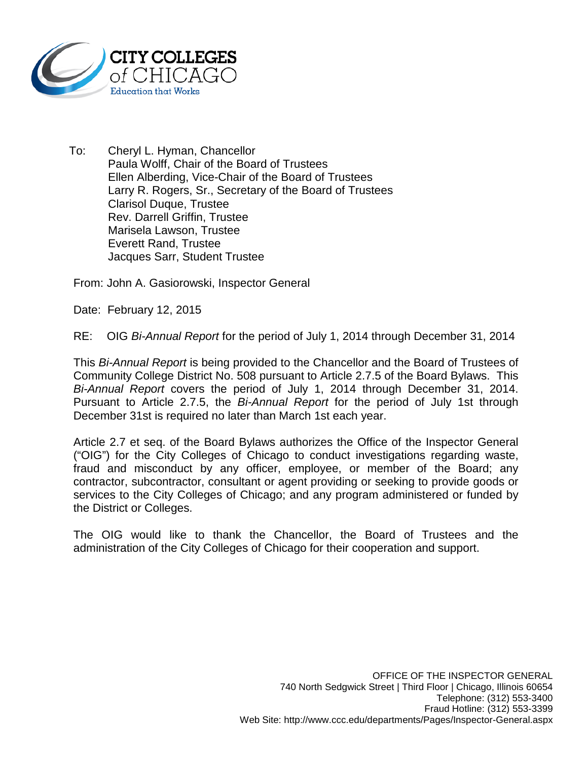

To: Cheryl L. Hyman, Chancellor Paula Wolff, Chair of the Board of Trustees Ellen Alberding, Vice-Chair of the Board of Trustees Larry R. Rogers, Sr., Secretary of the Board of Trustees Clarisol Duque, Trustee Rev. Darrell Griffin, Trustee Marisela Lawson, Trustee Everett Rand, Trustee Jacques Sarr, Student Trustee

From: John A. Gasiorowski, Inspector General

Date: February 12, 2015

RE: OIG *Bi-Annual Report* for the period of July 1, 2014 through December 31, 2014

This *Bi-Annual Report* is being provided to the Chancellor and the Board of Trustees of Community College District No. 508 pursuant to Article 2.7.5 of the Board Bylaws. This *Bi-Annual Report* covers the period of July 1, 2014 through December 31, 2014. Pursuant to Article 2.7.5, the *Bi-Annual Report* for the period of July 1st through December 31st is required no later than March 1st each year.

Article 2.7 et seq. of the Board Bylaws authorizes the Office of the Inspector General ("OIG") for the City Colleges of Chicago to conduct investigations regarding waste, fraud and misconduct by any officer, employee, or member of the Board; any contractor, subcontractor, consultant or agent providing or seeking to provide goods or services to the City Colleges of Chicago; and any program administered or funded by the District or Colleges.

The OIG would like to thank the Chancellor, the Board of Trustees and the administration of the City Colleges of Chicago for their cooperation and support.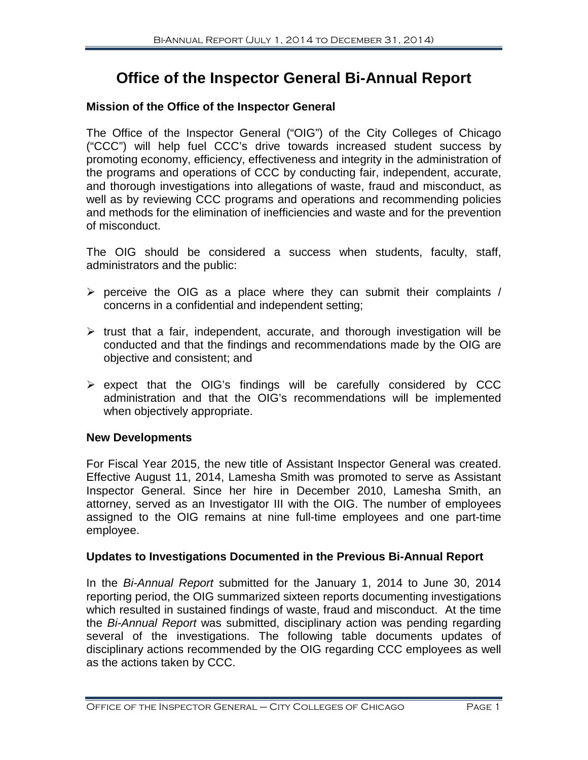# **Office of the Inspector General Bi-Annual Report**

# **Mission of the Office of the Inspector General**

The Office of the Inspector General ("OIG") of the City Colleges of Chicago ("CCC") will help fuel CCC's drive towards increased student success by promoting economy, efficiency, effectiveness and integrity in the administration of the programs and operations of CCC by conducting fair, independent, accurate, and thorough investigations into allegations of waste, fraud and misconduct, as well as by reviewing CCC programs and operations and recommending policies and methods for the elimination of inefficiencies and waste and for the prevention of misconduct.

The OIG should be considered a success when students, faculty, staff, administrators and the public:

- $\triangleright$  perceive the OIG as a place where they can submit their complaints / concerns in a confidential and independent setting;
- $\triangleright$  trust that a fair, independent, accurate, and thorough investigation will be conducted and that the findings and recommendations made by the OIG are objective and consistent; and
- $\triangleright$  expect that the OIG's findings will be carefully considered by CCC administration and that the OIG's recommendations will be implemented when objectively appropriate.

### **New Developments**

For Fiscal Year 2015, the new title of Assistant Inspector General was created. Effective August 11, 2014, Lamesha Smith was promoted to serve as Assistant Inspector General. Since her hire in December 2010, Lamesha Smith, an attorney, served as an Investigator III with the OIG. The number of employees assigned to the OIG remains at nine full-time employees and one part-time employee.

### **Updates to Investigations Documented in the Previous Bi-Annual Report**

In the *Bi-Annual Report* submitted for the January 1, 2014 to June 30, 2014 reporting period, the OIG summarized sixteen reports documenting investigations which resulted in sustained findings of waste, fraud and misconduct. At the time the *Bi-Annual Report* was submitted, disciplinary action was pending regarding several of the investigations. The following table documents updates of disciplinary actions recommended by the OIG regarding CCC employees as well as the actions taken by CCC.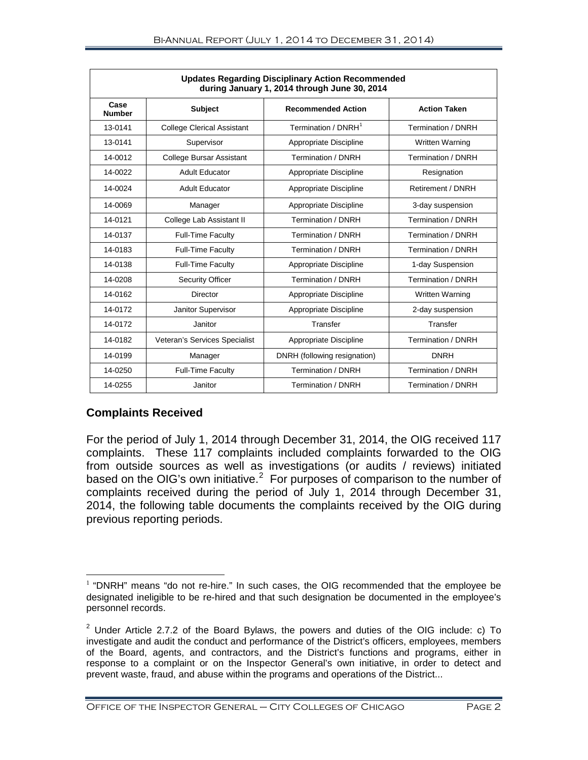| <b>Updates Regarding Disciplinary Action Recommended</b><br>during January 1, 2014 through June 30, 2014 |                                   |                                 |                        |  |  |  |  |  |
|----------------------------------------------------------------------------------------------------------|-----------------------------------|---------------------------------|------------------------|--|--|--|--|--|
| Case<br><b>Number</b>                                                                                    | <b>Subject</b>                    | <b>Recommended Action</b>       | <b>Action Taken</b>    |  |  |  |  |  |
| 13-0141                                                                                                  | <b>College Clerical Assistant</b> | Termination / DNRH <sup>1</sup> | Termination / DNRH     |  |  |  |  |  |
| 13-0141                                                                                                  | Supervisor                        | Appropriate Discipline          | Written Warning        |  |  |  |  |  |
| 14-0012                                                                                                  | <b>College Bursar Assistant</b>   | Termination / DNRH              | Termination / DNRH     |  |  |  |  |  |
| 14-0022                                                                                                  | <b>Adult Educator</b>             | Appropriate Discipline          | Resignation            |  |  |  |  |  |
| 14-0024                                                                                                  | <b>Adult Educator</b>             | Appropriate Discipline          | Retirement / DNRH      |  |  |  |  |  |
| 14-0069                                                                                                  | Manager                           | Appropriate Discipline          | 3-day suspension       |  |  |  |  |  |
| 14-0121                                                                                                  | College Lab Assistant II          | Termination / DNRH              | Termination / DNRH     |  |  |  |  |  |
| 14-0137                                                                                                  | <b>Full-Time Faculty</b>          | Termination / DNRH              | Termination / DNRH     |  |  |  |  |  |
| 14-0183                                                                                                  | <b>Full-Time Faculty</b>          | Termination / DNRH              | Termination / DNRH     |  |  |  |  |  |
| 14-0138                                                                                                  | <b>Full-Time Faculty</b>          | Appropriate Discipline          | 1-day Suspension       |  |  |  |  |  |
| 14-0208                                                                                                  | <b>Security Officer</b>           | Termination / DNRH              | Termination / DNRH     |  |  |  |  |  |
| 14-0162                                                                                                  | <b>Director</b>                   | Appropriate Discipline          | <b>Written Warning</b> |  |  |  |  |  |
| 14-0172                                                                                                  | Janitor Supervisor                | Appropriate Discipline          | 2-day suspension       |  |  |  |  |  |
| 14-0172                                                                                                  | Janitor                           | Transfer                        | Transfer               |  |  |  |  |  |
| 14-0182                                                                                                  | Veteran's Services Specialist     | Appropriate Discipline          | Termination / DNRH     |  |  |  |  |  |
| 14-0199                                                                                                  | Manager                           | DNRH (following resignation)    | <b>DNRH</b>            |  |  |  |  |  |
| 14-0250                                                                                                  | <b>Full-Time Faculty</b>          | Termination / DNRH              | Termination / DNRH     |  |  |  |  |  |
| 14-0255                                                                                                  | Janitor                           | Termination / DNRH              | Termination / DNRH     |  |  |  |  |  |

### **Complaints Received**

For the period of July 1, 2014 through December 31, 2014, the OIG received 117 complaints. These 117 complaints included complaints forwarded to the OIG from outside sources as well as investigations (or audits / reviews) initiated based on the OIG's own initiative.<sup>[2](#page-3-1)</sup> For purposes of comparison to the number of complaints received during the period of July 1, 2014 through December 31, 2014, the following table documents the complaints received by the OIG during previous reporting periods.

<span id="page-3-0"></span> $1$  "DNRH" means "do not re-hire." In such cases, the OIG recommended that the employee be designated ineligible to be re-hired and that such designation be documented in the employee's personnel records.  $\overline{a}$ 

<span id="page-3-1"></span> $2$  Under Article 2.7.2 of the Board Bylaws, the powers and duties of the OIG include: c) To investigate and audit the conduct and performance of the District's officers, employees, members of the Board, agents, and contractors, and the District's functions and programs, either in response to a complaint or on the Inspector General's own initiative, in order to detect and prevent waste, fraud, and abuse within the programs and operations of the District...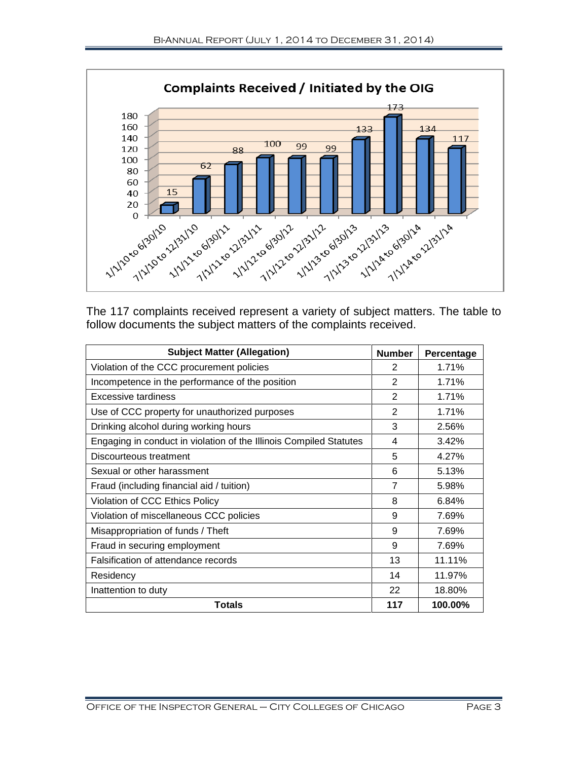

The 117 complaints received represent a variety of subject matters. The table to follow documents the subject matters of the complaints received.

| <b>Subject Matter (Allegation)</b>                                 | <b>Number</b> | Percentage |
|--------------------------------------------------------------------|---------------|------------|
| Violation of the CCC procurement policies                          | 2             | 1.71%      |
| Incompetence in the performance of the position                    | 2             | 1.71%      |
| Excessive tardiness                                                | 2             | 1.71%      |
| Use of CCC property for unauthorized purposes                      | 2             | 1.71%      |
| Drinking alcohol during working hours                              | 3             | 2.56%      |
| Engaging in conduct in violation of the Illinois Compiled Statutes | 4             | 3.42%      |
| Discourteous treatment                                             | 5             | 4.27%      |
| Sexual or other harassment                                         |               | 5.13%      |
| Fraud (including financial aid / tuition)                          |               | 5.98%      |
| Violation of CCC Ethics Policy                                     |               | 6.84%      |
| Violation of miscellaneous CCC policies                            |               | 7.69%      |
| Misappropriation of funds / Theft                                  |               | 7.69%      |
| Fraud in securing employment                                       |               | 7.69%      |
| Falsification of attendance records                                |               | 11.11%     |
| Residency                                                          |               | 11.97%     |
| Inattention to duty                                                |               | 18.80%     |
| Totals                                                             | 117           | 100.00%    |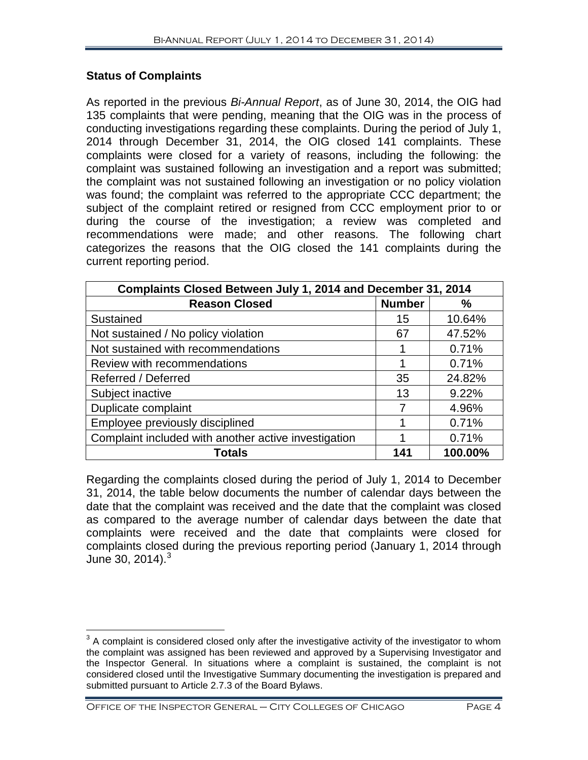# **Status of Complaints**

As reported in the previous *Bi-Annual Report*, as of June 30, 2014, the OIG had 135 complaints that were pending, meaning that the OIG was in the process of conducting investigations regarding these complaints. During the period of July 1, 2014 through December 31, 2014, the OIG closed 141 complaints. These complaints were closed for a variety of reasons, including the following: the complaint was sustained following an investigation and a report was submitted; the complaint was not sustained following an investigation or no policy violation was found; the complaint was referred to the appropriate CCC department; the subject of the complaint retired or resigned from CCC employment prior to or during the course of the investigation; a review was completed and recommendations were made; and other reasons. The following chart categorizes the reasons that the OIG closed the 141 complaints during the current reporting period.

| Complaints Closed Between July 1, 2014 and December 31, 2014 |               |         |  |  |  |  |
|--------------------------------------------------------------|---------------|---------|--|--|--|--|
| <b>Reason Closed</b>                                         | <b>Number</b> | $\%$    |  |  |  |  |
| Sustained                                                    | 15            | 10.64%  |  |  |  |  |
| Not sustained / No policy violation                          | 67            | 47.52%  |  |  |  |  |
| Not sustained with recommendations                           |               | 0.71%   |  |  |  |  |
| Review with recommendations                                  |               | 0.71%   |  |  |  |  |
| Referred / Deferred                                          | 35            | 24.82%  |  |  |  |  |
| Subject inactive                                             | 13            | 9.22%   |  |  |  |  |
| Duplicate complaint                                          | 7             | 4.96%   |  |  |  |  |
| Employee previously disciplined                              | ኅ             | 0.71%   |  |  |  |  |
| Complaint included with another active investigation         |               | 0.71%   |  |  |  |  |
| <b>Totals</b>                                                | 141           | 100.00% |  |  |  |  |

Regarding the complaints closed during the period of July 1, 2014 to December 31, 2014, the table below documents the number of calendar days between the date that the complaint was received and the date that the complaint was closed as compared to the average number of calendar days between the date that complaints were received and the date that complaints were closed for complaints closed during the previous reporting period (January 1, 2014 through June [3](#page-5-0)0, 2014). $3$ 

<span id="page-5-0"></span> $3$  A complaint is considered closed only after the investigative activity of the investigator to whom the complaint was assigned has been reviewed and approved by a Supervising Investigator and the Inspector General. In situations where a complaint is sustained, the complaint is not considered closed until the Investigative Summary documenting the investigation is prepared and submitted pursuant to Article 2.7.3 of the Board Bylaws.  $\overline{\phantom{a}}$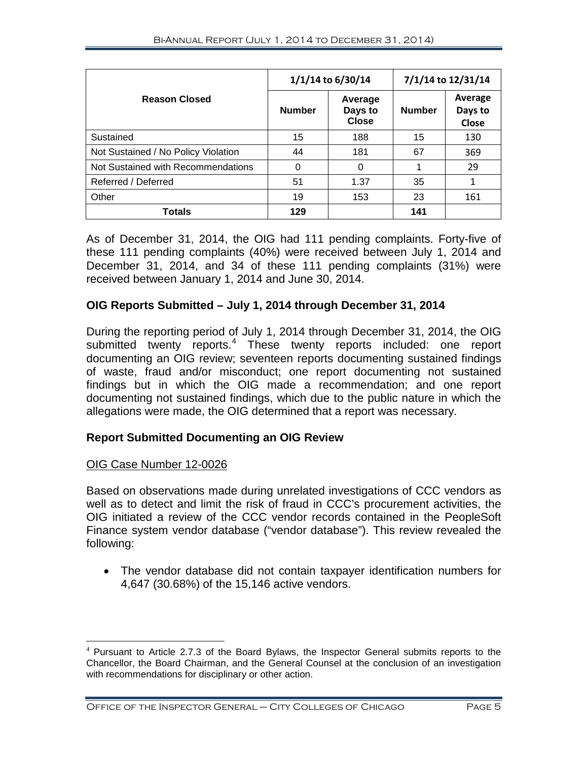|                                     | 1/1/14 to 6/30/14 |                                    | 7/1/14 to 12/31/14 |                             |
|-------------------------------------|-------------------|------------------------------------|--------------------|-----------------------------|
| <b>Reason Closed</b>                | <b>Number</b>     | Average<br>Days to<br><b>Close</b> | <b>Number</b>      | Average<br>Days to<br>Close |
| Sustained                           | 15                | 188                                | 15                 | 130                         |
| Not Sustained / No Policy Violation | 44                | 181                                | 67                 | 369                         |
| Not Sustained with Recommendations  | $\Omega$          | 0                                  | 1                  | 29                          |
| Referred / Deferred                 | 51                | 1.37                               | 35                 | 1                           |
| Other                               | 19                | 153                                | 23                 | 161                         |
| <b>Totals</b>                       | 129               |                                    | 141                |                             |

As of December 31, 2014, the OIG had 111 pending complaints. Forty-five of these 111 pending complaints (40%) were received between July 1, 2014 and December 31, 2014, and 34 of these 111 pending complaints (31%) were received between January 1, 2014 and June 30, 2014.

# **OIG Reports Submitted – July 1, 2014 through December 31, 2014**

During the reporting period of July 1, 2014 through December 31, 2014, the OIG submitted twenty reports.<sup>[4](#page-6-0)</sup> These twenty reports included: one report documenting an OIG review; seventeen reports documenting sustained findings of waste, fraud and/or misconduct; one report documenting not sustained findings but in which the OIG made a recommendation; and one report documenting not sustained findings, which due to the public nature in which the allegations were made, the OIG determined that a report was necessary.

# **Report Submitted Documenting an OIG Review**

### OIG Case Number 12-0026

Based on observations made during unrelated investigations of CCC vendors as well as to detect and limit the risk of fraud in CCC's procurement activities, the OIG initiated a review of the CCC vendor records contained in the PeopleSoft Finance system vendor database ("vendor database"). This review revealed the following:

• The vendor database did not contain taxpayer identification numbers for 4,647 (30.68%) of the 15,146 active vendors.

<span id="page-6-0"></span> $4$  Pursuant to Article 2.7.3 of the Board Bylaws, the Inspector General submits reports to the Chancellor, the Board Chairman, and the General Counsel at the conclusion of an investigation with recommendations for disciplinary or other action.  $\overline{a}$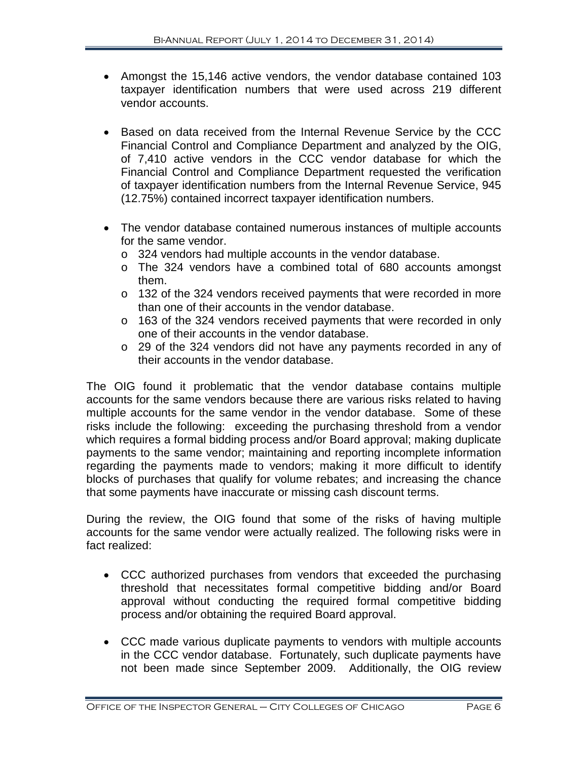- Amongst the 15,146 active vendors, the vendor database contained 103 taxpayer identification numbers that were used across 219 different vendor accounts.
- Based on data received from the Internal Revenue Service by the CCC Financial Control and Compliance Department and analyzed by the OIG, of 7,410 active vendors in the CCC vendor database for which the Financial Control and Compliance Department requested the verification of taxpayer identification numbers from the Internal Revenue Service, 945 (12.75%) contained incorrect taxpayer identification numbers.
- The vendor database contained numerous instances of multiple accounts for the same vendor.
	- o 324 vendors had multiple accounts in the vendor database.
	- o The 324 vendors have a combined total of 680 accounts amongst them.
	- $\circ$  132 of the 324 vendors received payments that were recorded in more than one of their accounts in the vendor database.
	- o 163 of the 324 vendors received payments that were recorded in only one of their accounts in the vendor database.
	- o 29 of the 324 vendors did not have any payments recorded in any of their accounts in the vendor database.

The OIG found it problematic that the vendor database contains multiple accounts for the same vendors because there are various risks related to having multiple accounts for the same vendor in the vendor database. Some of these risks include the following: exceeding the purchasing threshold from a vendor which requires a formal bidding process and/or Board approval; making duplicate payments to the same vendor; maintaining and reporting incomplete information regarding the payments made to vendors; making it more difficult to identify blocks of purchases that qualify for volume rebates; and increasing the chance that some payments have inaccurate or missing cash discount terms.

During the review, the OIG found that some of the risks of having multiple accounts for the same vendor were actually realized. The following risks were in fact realized:

- CCC authorized purchases from vendors that exceeded the purchasing threshold that necessitates formal competitive bidding and/or Board approval without conducting the required formal competitive bidding process and/or obtaining the required Board approval.
- CCC made various duplicate payments to vendors with multiple accounts in the CCC vendor database. Fortunately, such duplicate payments have not been made since September 2009. Additionally, the OIG review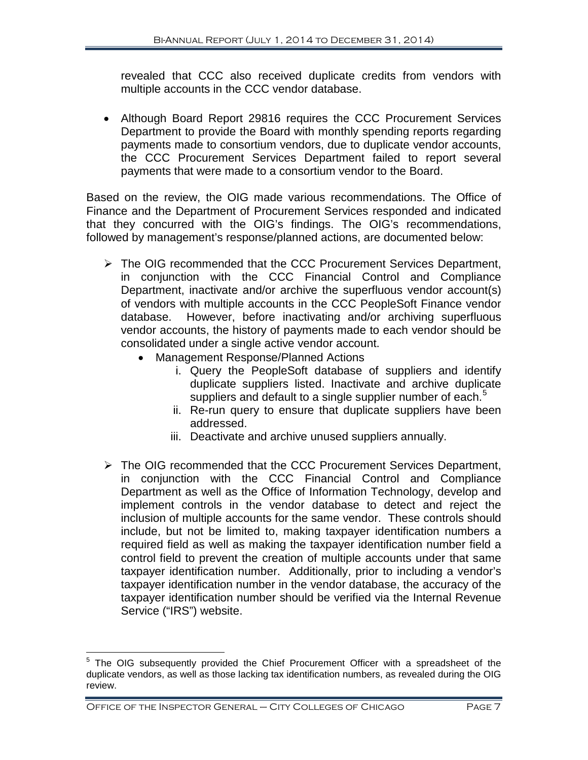revealed that CCC also received duplicate credits from vendors with multiple accounts in the CCC vendor database.

• Although Board Report 29816 requires the CCC Procurement Services Department to provide the Board with monthly spending reports regarding payments made to consortium vendors, due to duplicate vendor accounts, the CCC Procurement Services Department failed to report several payments that were made to a consortium vendor to the Board.

Based on the review, the OIG made various recommendations. The Office of Finance and the Department of Procurement Services responded and indicated that they concurred with the OIG's findings. The OIG's recommendations, followed by management's response/planned actions, are documented below:

- > The OIG recommended that the CCC Procurement Services Department, in conjunction with the CCC Financial Control and Compliance Department, inactivate and/or archive the superfluous vendor account(s) of vendors with multiple accounts in the CCC PeopleSoft Finance vendor<br>database. However, before inactivating and/or archiving superfluous However, before inactivating and/or archiving superfluous vendor accounts, the history of payments made to each vendor should be consolidated under a single active vendor account.
	- Management Response/Planned Actions
		- i. Query the PeopleSoft database of suppliers and identify duplicate suppliers listed. Inactivate and archive duplicate suppliers and default to a single supplier number of each. $5$
		- ii. Re-run query to ensure that duplicate suppliers have been addressed.
		- iii. Deactivate and archive unused suppliers annually.
- > The OIG recommended that the CCC Procurement Services Department, in conjunction with the CCC Financial Control and Compliance Department as well as the Office of Information Technology, develop and implement controls in the vendor database to detect and reject the inclusion of multiple accounts for the same vendor. These controls should include, but not be limited to, making taxpayer identification numbers a required field as well as making the taxpayer identification number field a control field to prevent the creation of multiple accounts under that same taxpayer identification number. Additionally, prior to including a vendor's taxpayer identification number in the vendor database, the accuracy of the taxpayer identification number should be verified via the Internal Revenue Service ("IRS") website.

 $\overline{a}$ 

<span id="page-8-0"></span> $5$  The OIG subsequently provided the Chief Procurement Officer with a spreadsheet of the duplicate vendors, as well as those lacking tax identification numbers, as revealed during the OIG review.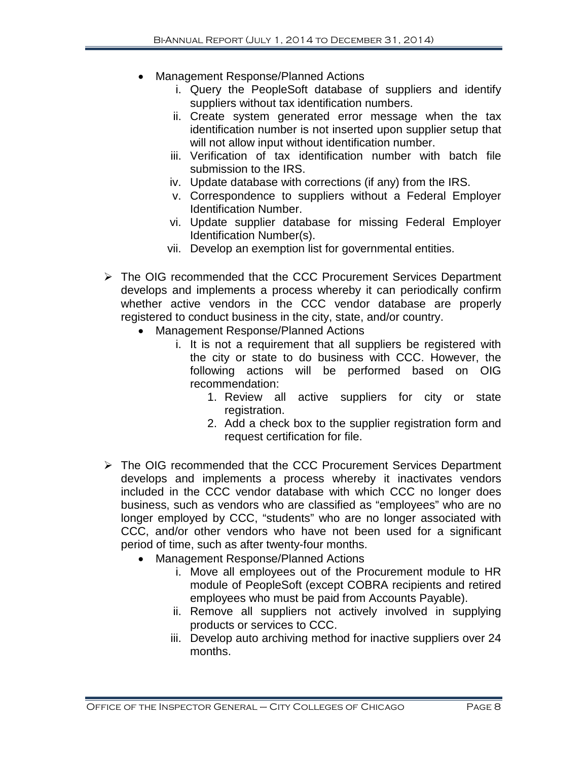- Management Response/Planned Actions
	- i. Query the PeopleSoft database of suppliers and identify suppliers without tax identification numbers.
	- ii. Create system generated error message when the tax identification number is not inserted upon supplier setup that will not allow input without identification number.
	- iii. Verification of tax identification number with batch file submission to the IRS.
	- iv. Update database with corrections (if any) from the IRS.
	- v. Correspondence to suppliers without a Federal Employer Identification Number.
	- vi. Update supplier database for missing Federal Employer Identification Number(s).
	- vii. Develop an exemption list for governmental entities.
- The OIG recommended that the CCC Procurement Services Department develops and implements a process whereby it can periodically confirm whether active vendors in the CCC vendor database are properly registered to conduct business in the city, state, and/or country.
	- Management Response/Planned Actions
		- i. It is not a requirement that all suppliers be registered with the city or state to do business with CCC. However, the following actions will be performed based on OIG recommendation:
			- 1. Review all active suppliers for city or state registration.
			- 2. Add a check box to the supplier registration form and request certification for file.
- > The OIG recommended that the CCC Procurement Services Department develops and implements a process whereby it inactivates vendors included in the CCC vendor database with which CCC no longer does business, such as vendors who are classified as "employees" who are no longer employed by CCC, "students" who are no longer associated with CCC, and/or other vendors who have not been used for a significant period of time, such as after twenty-four months.
	- Management Response/Planned Actions
		- i. Move all employees out of the Procurement module to HR module of PeopleSoft (except COBRA recipients and retired employees who must be paid from Accounts Payable).
		- ii. Remove all suppliers not actively involved in supplying products or services to CCC.
		- iii. Develop auto archiving method for inactive suppliers over 24 months.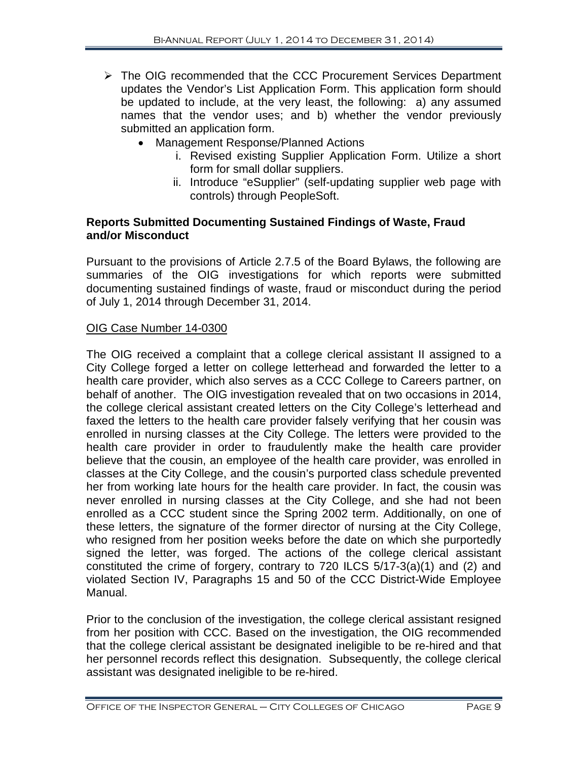- > The OIG recommended that the CCC Procurement Services Department updates the Vendor's List Application Form. This application form should be updated to include, at the very least, the following: a) any assumed names that the vendor uses; and b) whether the vendor previously submitted an application form.
	- Management Response/Planned Actions
		- i. Revised existing Supplier Application Form. Utilize a short form for small dollar suppliers.
		- ii. Introduce "eSupplier" (self-updating supplier web page with controls) through PeopleSoft.

# **Reports Submitted Documenting Sustained Findings of Waste, Fraud and/or Misconduct**

Pursuant to the provisions of Article 2.7.5 of the Board Bylaws, the following are summaries of the OIG investigations for which reports were submitted documenting sustained findings of waste, fraud or misconduct during the period of July 1, 2014 through December 31, 2014.

# OIG Case Number 14-0300

The OIG received a complaint that a college clerical assistant II assigned to a City College forged a letter on college letterhead and forwarded the letter to a health care provider, which also serves as a CCC College to Careers partner, on behalf of another. The OIG investigation revealed that on two occasions in 2014, the college clerical assistant created letters on the City College's letterhead and faxed the letters to the health care provider falsely verifying that her cousin was enrolled in nursing classes at the City College. The letters were provided to the health care provider in order to fraudulently make the health care provider believe that the cousin, an employee of the health care provider, was enrolled in classes at the City College, and the cousin's purported class schedule prevented her from working late hours for the health care provider. In fact, the cousin was never enrolled in nursing classes at the City College, and she had not been enrolled as a CCC student since the Spring 2002 term. Additionally, on one of these letters, the signature of the former director of nursing at the City College, who resigned from her position weeks before the date on which she purportedly signed the letter, was forged. The actions of the college clerical assistant constituted the crime of forgery, contrary to 720 ILCS 5/17-3(a)(1) and (2) and violated Section IV, Paragraphs 15 and 50 of the CCC District-Wide Employee Manual.

Prior to the conclusion of the investigation, the college clerical assistant resigned from her position with CCC. Based on the investigation, the OIG recommended that the college clerical assistant be designated ineligible to be re-hired and that her personnel records reflect this designation. Subsequently, the college clerical assistant was designated ineligible to be re-hired.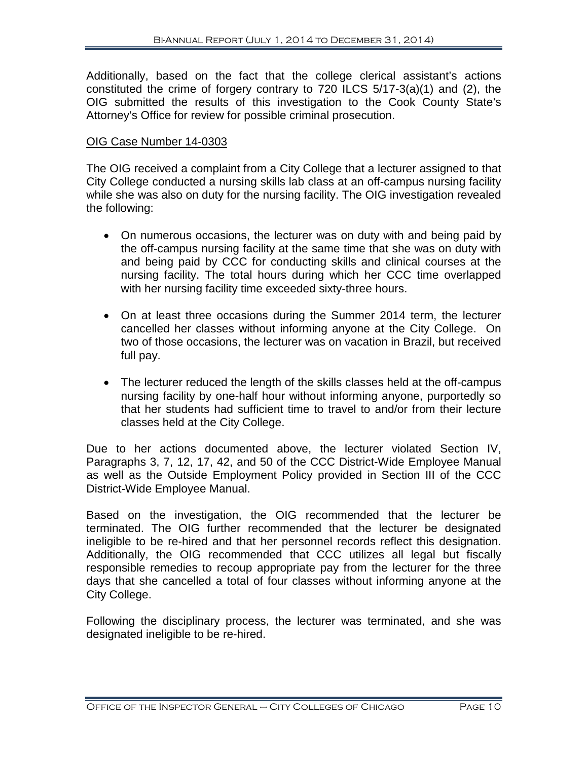Additionally, based on the fact that the college clerical assistant's actions constituted the crime of forgery contrary to 720 ILCS 5/17-3(a)(1) and (2), the OIG submitted the results of this investigation to the Cook County State's Attorney's Office for review for possible criminal prosecution.

# OIG Case Number 14-0303

The OIG received a complaint from a City College that a lecturer assigned to that City College conducted a nursing skills lab class at an off-campus nursing facility while she was also on duty for the nursing facility. The OIG investigation revealed the following:

- On numerous occasions, the lecturer was on duty with and being paid by the off-campus nursing facility at the same time that she was on duty with and being paid by CCC for conducting skills and clinical courses at the nursing facility. The total hours during which her CCC time overlapped with her nursing facility time exceeded sixty-three hours.
- On at least three occasions during the Summer 2014 term, the lecturer cancelled her classes without informing anyone at the City College. On two of those occasions, the lecturer was on vacation in Brazil, but received full pay.
- The lecturer reduced the length of the skills classes held at the off-campus nursing facility by one-half hour without informing anyone, purportedly so that her students had sufficient time to travel to and/or from their lecture classes held at the City College.

Due to her actions documented above, the lecturer violated Section IV, Paragraphs 3, 7, 12, 17, 42, and 50 of the CCC District-Wide Employee Manual as well as the Outside Employment Policy provided in Section III of the CCC District-Wide Employee Manual.

Based on the investigation, the OIG recommended that the lecturer be terminated. The OIG further recommended that the lecturer be designated ineligible to be re-hired and that her personnel records reflect this designation. Additionally, the OIG recommended that CCC utilizes all legal but fiscally responsible remedies to recoup appropriate pay from the lecturer for the three days that she cancelled a total of four classes without informing anyone at the City College.

Following the disciplinary process, the lecturer was terminated, and she was designated ineligible to be re-hired.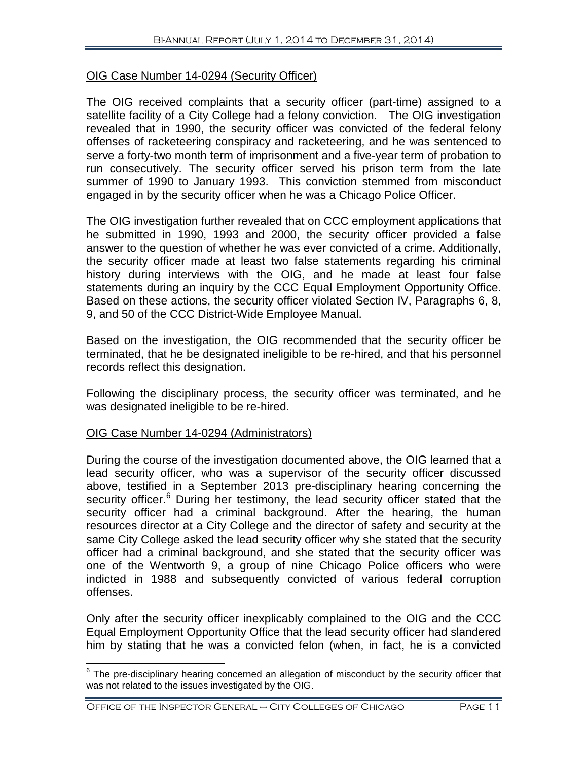# OIG Case Number 14-0294 (Security Officer)

The OIG received complaints that a security officer (part-time) assigned to a satellite facility of a City College had a felony conviction. The OIG investigation revealed that in 1990, the security officer was convicted of the federal felony offenses of racketeering conspiracy and racketeering, and he was sentenced to serve a forty-two month term of imprisonment and a five-year term of probation to run consecutively. The security officer served his prison term from the late summer of 1990 to January 1993. This conviction stemmed from misconduct engaged in by the security officer when he was a Chicago Police Officer.

The OIG investigation further revealed that on CCC employment applications that he submitted in 1990, 1993 and 2000, the security officer provided a false answer to the question of whether he was ever convicted of a crime. Additionally, the security officer made at least two false statements regarding his criminal history during interviews with the OIG, and he made at least four false statements during an inquiry by the CCC Equal Employment Opportunity Office. Based on these actions, the security officer violated Section IV, Paragraphs 6, 8, 9, and 50 of the CCC District-Wide Employee Manual.

Based on the investigation, the OIG recommended that the security officer be terminated, that he be designated ineligible to be re-hired, and that his personnel records reflect this designation.

Following the disciplinary process, the security officer was terminated, and he was designated ineligible to be re-hired.

### OIG Case Number 14-0294 (Administrators)

 $\overline{\phantom{a}}$ 

During the course of the investigation documented above, the OIG learned that a lead security officer, who was a supervisor of the security officer discussed above, testified in a September 2013 pre-disciplinary hearing concerning the security officer.<sup>[6](#page-12-0)</sup> During her testimony, the lead security officer stated that the security officer had a criminal background. After the hearing, the human resources director at a City College and the director of safety and security at the same City College asked the lead security officer why she stated that the security officer had a criminal background, and she stated that the security officer was one of the Wentworth 9, a group of nine Chicago Police officers who were indicted in 1988 and subsequently convicted of various federal corruption offenses.

Only after the security officer inexplicably complained to the OIG and the CCC Equal Employment Opportunity Office that the lead security officer had slandered him by stating that he was a convicted felon (when, in fact, he is a convicted

<span id="page-12-0"></span> $6$  The pre-disciplinary hearing concerned an allegation of misconduct by the security officer that was not related to the issues investigated by the OIG.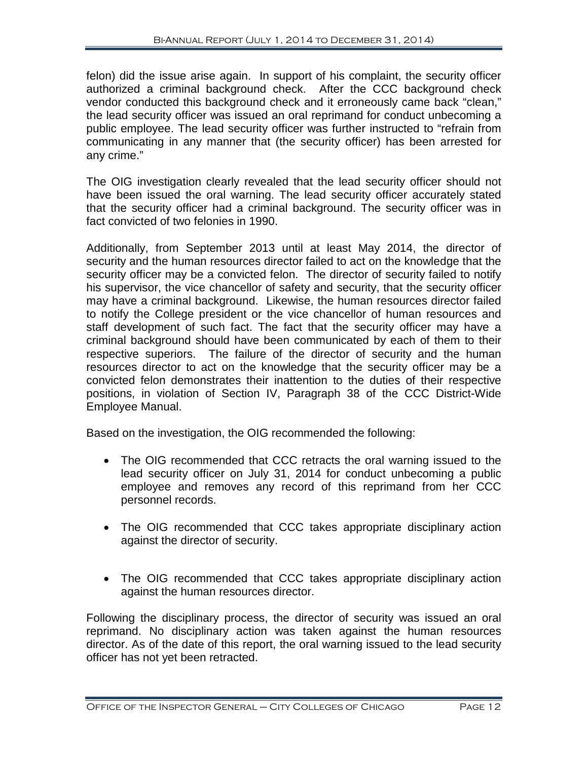felon) did the issue arise again. In support of his complaint, the security officer authorized a criminal background check. After the CCC background check vendor conducted this background check and it erroneously came back "clean," the lead security officer was issued an oral reprimand for conduct unbecoming a public employee. The lead security officer was further instructed to "refrain from communicating in any manner that (the security officer) has been arrested for any crime."

The OIG investigation clearly revealed that the lead security officer should not have been issued the oral warning. The lead security officer accurately stated that the security officer had a criminal background. The security officer was in fact convicted of two felonies in 1990.

Additionally, from September 2013 until at least May 2014, the director of security and the human resources director failed to act on the knowledge that the security officer may be a convicted felon. The director of security failed to notify his supervisor, the vice chancellor of safety and security, that the security officer may have a criminal background. Likewise, the human resources director failed to notify the College president or the vice chancellor of human resources and staff development of such fact. The fact that the security officer may have a criminal background should have been communicated by each of them to their respective superiors. The failure of the director of security and the human resources director to act on the knowledge that the security officer may be a convicted felon demonstrates their inattention to the duties of their respective positions, in violation of Section IV, Paragraph 38 of the CCC District-Wide Employee Manual.

Based on the investigation, the OIG recommended the following:

- The OIG recommended that CCC retracts the oral warning issued to the lead security officer on July 31, 2014 for conduct unbecoming a public employee and removes any record of this reprimand from her CCC personnel records.
- The OIG recommended that CCC takes appropriate disciplinary action against the director of security.
- The OIG recommended that CCC takes appropriate disciplinary action against the human resources director.

Following the disciplinary process, the director of security was issued an oral reprimand. No disciplinary action was taken against the human resources director. As of the date of this report, the oral warning issued to the lead security officer has not yet been retracted.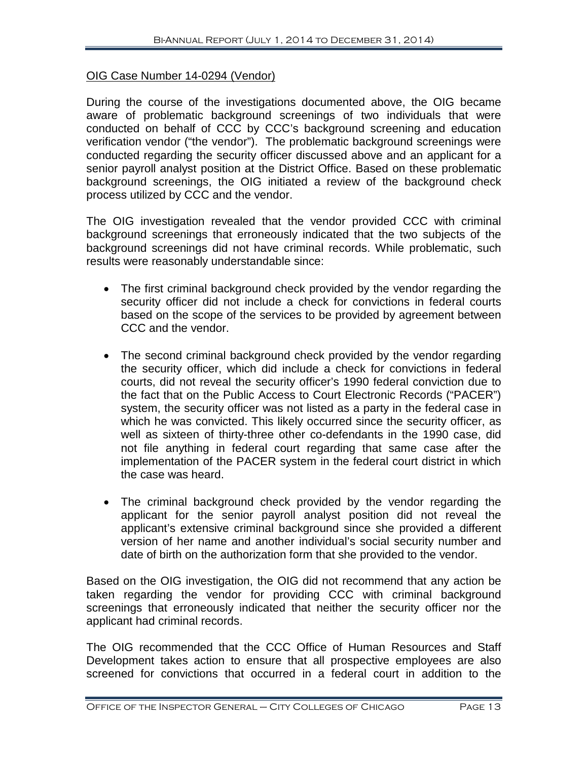#### OIG Case Number 14-0294 (Vendor)

During the course of the investigations documented above, the OIG became aware of problematic background screenings of two individuals that were conducted on behalf of CCC by CCC's background screening and education verification vendor ("the vendor"). The problematic background screenings were conducted regarding the security officer discussed above and an applicant for a senior payroll analyst position at the District Office. Based on these problematic background screenings, the OIG initiated a review of the background check process utilized by CCC and the vendor.

The OIG investigation revealed that the vendor provided CCC with criminal background screenings that erroneously indicated that the two subjects of the background screenings did not have criminal records. While problematic, such results were reasonably understandable since:

- The first criminal background check provided by the vendor regarding the security officer did not include a check for convictions in federal courts based on the scope of the services to be provided by agreement between CCC and the vendor.
- The second criminal background check provided by the vendor regarding the security officer, which did include a check for convictions in federal courts, did not reveal the security officer's 1990 federal conviction due to the fact that on the Public Access to Court Electronic Records ("PACER") system, the security officer was not listed as a party in the federal case in which he was convicted. This likely occurred since the security officer, as well as sixteen of thirty-three other co-defendants in the 1990 case, did not file anything in federal court regarding that same case after the implementation of the PACER system in the federal court district in which the case was heard.
- The criminal background check provided by the vendor regarding the applicant for the senior payroll analyst position did not reveal the applicant's extensive criminal background since she provided a different version of her name and another individual's social security number and date of birth on the authorization form that she provided to the vendor.

Based on the OIG investigation, the OIG did not recommend that any action be taken regarding the vendor for providing CCC with criminal background screenings that erroneously indicated that neither the security officer nor the applicant had criminal records.

The OIG recommended that the CCC Office of Human Resources and Staff Development takes action to ensure that all prospective employees are also screened for convictions that occurred in a federal court in addition to the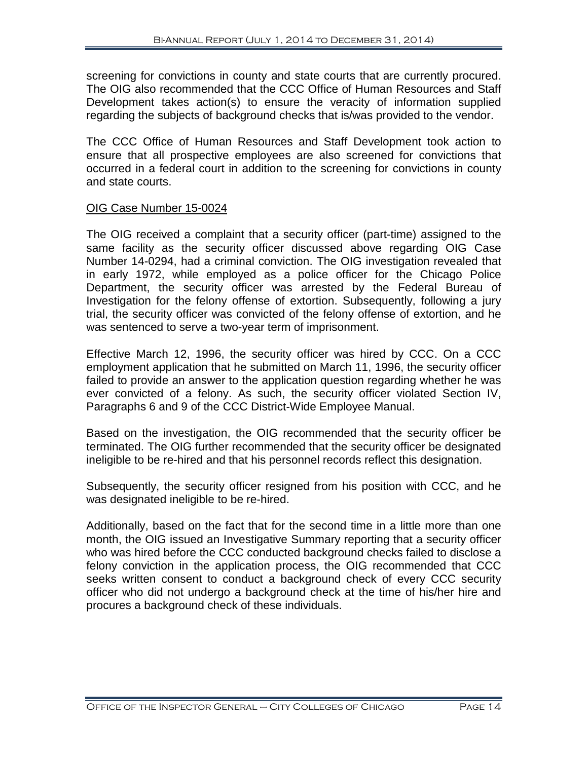screening for convictions in county and state courts that are currently procured. The OIG also recommended that the CCC Office of Human Resources and Staff Development takes action(s) to ensure the veracity of information supplied regarding the subjects of background checks that is/was provided to the vendor.

The CCC Office of Human Resources and Staff Development took action to ensure that all prospective employees are also screened for convictions that occurred in a federal court in addition to the screening for convictions in county and state courts.

#### OIG Case Number 15-0024

The OIG received a complaint that a security officer (part-time) assigned to the same facility as the security officer discussed above regarding OIG Case Number 14-0294, had a criminal conviction. The OIG investigation revealed that in early 1972, while employed as a police officer for the Chicago Police Department, the security officer was arrested by the Federal Bureau of Investigation for the felony offense of extortion. Subsequently, following a jury trial, the security officer was convicted of the felony offense of extortion, and he was sentenced to serve a two-year term of imprisonment.

Effective March 12, 1996, the security officer was hired by CCC. On a CCC employment application that he submitted on March 11, 1996, the security officer failed to provide an answer to the application question regarding whether he was ever convicted of a felony. As such, the security officer violated Section IV, Paragraphs 6 and 9 of the CCC District-Wide Employee Manual.

Based on the investigation, the OIG recommended that the security officer be terminated. The OIG further recommended that the security officer be designated ineligible to be re-hired and that his personnel records reflect this designation.

Subsequently, the security officer resigned from his position with CCC, and he was designated ineligible to be re-hired.

Additionally, based on the fact that for the second time in a little more than one month, the OIG issued an Investigative Summary reporting that a security officer who was hired before the CCC conducted background checks failed to disclose a felony conviction in the application process, the OIG recommended that CCC seeks written consent to conduct a background check of every CCC security officer who did not undergo a background check at the time of his/her hire and procures a background check of these individuals.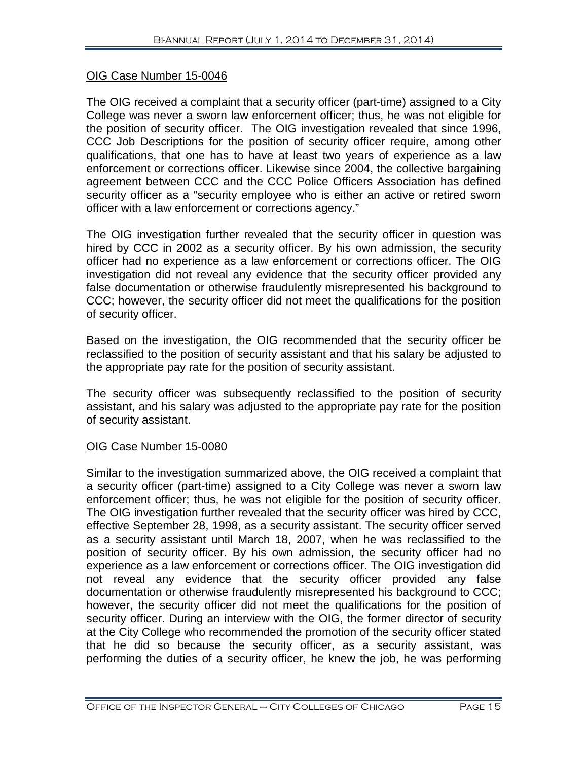# OIG Case Number 15-0046

The OIG received a complaint that a security officer (part-time) assigned to a City College was never a sworn law enforcement officer; thus, he was not eligible for the position of security officer. The OIG investigation revealed that since 1996, CCC Job Descriptions for the position of security officer require, among other qualifications, that one has to have at least two years of experience as a law enforcement or corrections officer. Likewise since 2004, the collective bargaining agreement between CCC and the CCC Police Officers Association has defined security officer as a "security employee who is either an active or retired sworn officer with a law enforcement or corrections agency."

The OIG investigation further revealed that the security officer in question was hired by CCC in 2002 as a security officer. By his own admission, the security officer had no experience as a law enforcement or corrections officer. The OIG investigation did not reveal any evidence that the security officer provided any false documentation or otherwise fraudulently misrepresented his background to CCC; however, the security officer did not meet the qualifications for the position of security officer.

Based on the investigation, the OIG recommended that the security officer be reclassified to the position of security assistant and that his salary be adjusted to the appropriate pay rate for the position of security assistant.

The security officer was subsequently reclassified to the position of security assistant, and his salary was adjusted to the appropriate pay rate for the position of security assistant.

# OIG Case Number 15-0080

Similar to the investigation summarized above, the OIG received a complaint that a security officer (part-time) assigned to a City College was never a sworn law enforcement officer; thus, he was not eligible for the position of security officer. The OIG investigation further revealed that the security officer was hired by CCC, effective September 28, 1998, as a security assistant. The security officer served as a security assistant until March 18, 2007, when he was reclassified to the position of security officer. By his own admission, the security officer had no experience as a law enforcement or corrections officer. The OIG investigation did not reveal any evidence that the security officer provided any false documentation or otherwise fraudulently misrepresented his background to CCC; however, the security officer did not meet the qualifications for the position of security officer. During an interview with the OIG, the former director of security at the City College who recommended the promotion of the security officer stated that he did so because the security officer, as a security assistant, was performing the duties of a security officer, he knew the job, he was performing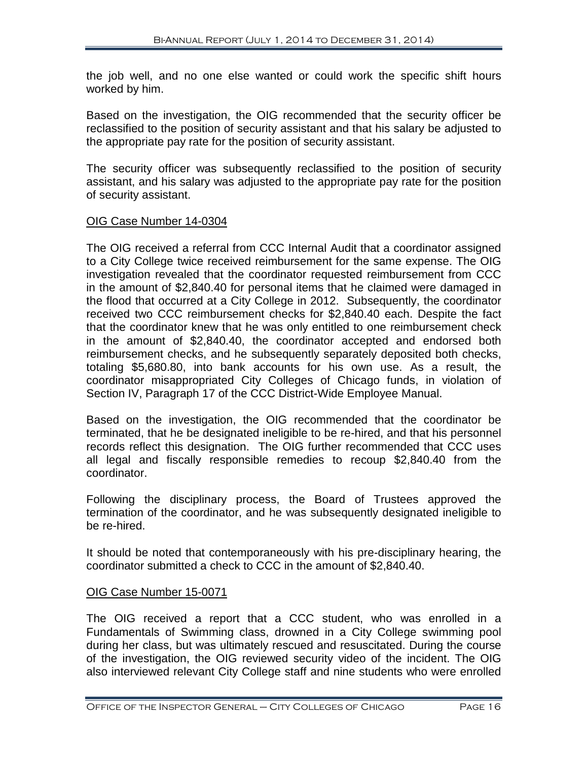the job well, and no one else wanted or could work the specific shift hours worked by him.

Based on the investigation, the OIG recommended that the security officer be reclassified to the position of security assistant and that his salary be adjusted to the appropriate pay rate for the position of security assistant.

The security officer was subsequently reclassified to the position of security assistant, and his salary was adjusted to the appropriate pay rate for the position of security assistant.

### OIG Case Number 14-0304

The OIG received a referral from CCC Internal Audit that a coordinator assigned to a City College twice received reimbursement for the same expense. The OIG investigation revealed that the coordinator requested reimbursement from CCC in the amount of \$2,840.40 for personal items that he claimed were damaged in the flood that occurred at a City College in 2012. Subsequently, the coordinator received two CCC reimbursement checks for \$2,840.40 each. Despite the fact that the coordinator knew that he was only entitled to one reimbursement check in the amount of \$2,840.40, the coordinator accepted and endorsed both reimbursement checks, and he subsequently separately deposited both checks, totaling \$5,680.80, into bank accounts for his own use. As a result, the coordinator misappropriated City Colleges of Chicago funds, in violation of Section IV, Paragraph 17 of the CCC District-Wide Employee Manual.

Based on the investigation, the OIG recommended that the coordinator be terminated, that he be designated ineligible to be re-hired, and that his personnel records reflect this designation. The OIG further recommended that CCC uses all legal and fiscally responsible remedies to recoup \$2,840.40 from the coordinator.

Following the disciplinary process, the Board of Trustees approved the termination of the coordinator, and he was subsequently designated ineligible to be re-hired.

It should be noted that contemporaneously with his pre-disciplinary hearing, the coordinator submitted a check to CCC in the amount of \$2,840.40.

### OIG Case Number 15-0071

The OIG received a report that a CCC student, who was enrolled in a Fundamentals of Swimming class, drowned in a City College swimming pool during her class, but was ultimately rescued and resuscitated. During the course of the investigation, the OIG reviewed security video of the incident. The OIG also interviewed relevant City College staff and nine students who were enrolled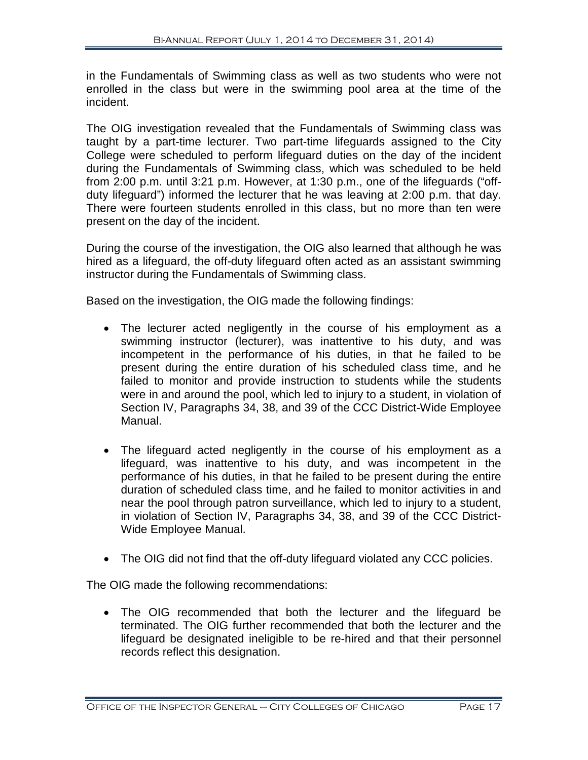in the Fundamentals of Swimming class as well as two students who were not enrolled in the class but were in the swimming pool area at the time of the incident.

The OIG investigation revealed that the Fundamentals of Swimming class was taught by a part-time lecturer. Two part-time lifeguards assigned to the City College were scheduled to perform lifeguard duties on the day of the incident during the Fundamentals of Swimming class, which was scheduled to be held from 2:00 p.m. until 3:21 p.m. However, at 1:30 p.m., one of the lifeguards ("offduty lifeguard") informed the lecturer that he was leaving at 2:00 p.m. that day. There were fourteen students enrolled in this class, but no more than ten were present on the day of the incident.

During the course of the investigation, the OIG also learned that although he was hired as a lifeguard, the off-duty lifeguard often acted as an assistant swimming instructor during the Fundamentals of Swimming class.

Based on the investigation, the OIG made the following findings:

- The lecturer acted negligently in the course of his employment as a swimming instructor (lecturer), was inattentive to his duty, and was incompetent in the performance of his duties, in that he failed to be present during the entire duration of his scheduled class time, and he failed to monitor and provide instruction to students while the students were in and around the pool, which led to injury to a student, in violation of Section IV, Paragraphs 34, 38, and 39 of the CCC District-Wide Employee Manual.
- The lifeguard acted negligently in the course of his employment as a lifeguard, was inattentive to his duty, and was incompetent in the performance of his duties, in that he failed to be present during the entire duration of scheduled class time, and he failed to monitor activities in and near the pool through patron surveillance, which led to injury to a student, in violation of Section IV, Paragraphs 34, 38, and 39 of the CCC District-Wide Employee Manual.
- The OIG did not find that the off-duty lifeguard violated any CCC policies.

The OIG made the following recommendations:

• The OIG recommended that both the lecturer and the lifeguard be terminated. The OIG further recommended that both the lecturer and the lifeguard be designated ineligible to be re-hired and that their personnel records reflect this designation.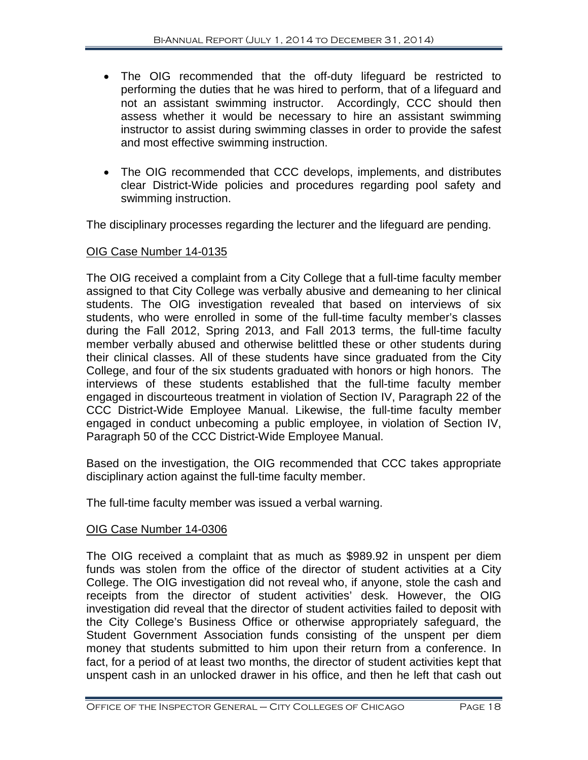- The OIG recommended that the off-duty lifeguard be restricted to performing the duties that he was hired to perform, that of a lifeguard and not an assistant swimming instructor. Accordingly, CCC should then assess whether it would be necessary to hire an assistant swimming instructor to assist during swimming classes in order to provide the safest and most effective swimming instruction.
- The OIG recommended that CCC develops, implements, and distributes clear District-Wide policies and procedures regarding pool safety and swimming instruction.

The disciplinary processes regarding the lecturer and the lifeguard are pending.

# OIG Case Number 14-0135

The OIG received a complaint from a City College that a full-time faculty member assigned to that City College was verbally abusive and demeaning to her clinical students. The OIG investigation revealed that based on interviews of six students, who were enrolled in some of the full-time faculty member's classes during the Fall 2012, Spring 2013, and Fall 2013 terms, the full-time faculty member verbally abused and otherwise belittled these or other students during their clinical classes. All of these students have since graduated from the City College, and four of the six students graduated with honors or high honors. The interviews of these students established that the full-time faculty member engaged in discourteous treatment in violation of Section IV, Paragraph 22 of the CCC District-Wide Employee Manual. Likewise, the full-time faculty member engaged in conduct unbecoming a public employee, in violation of Section IV, Paragraph 50 of the CCC District-Wide Employee Manual.

Based on the investigation, the OIG recommended that CCC takes appropriate disciplinary action against the full-time faculty member.

The full-time faculty member was issued a verbal warning.

# OIG Case Number 14-0306

The OIG received a complaint that as much as \$989.92 in unspent per diem funds was stolen from the office of the director of student activities at a City College. The OIG investigation did not reveal who, if anyone, stole the cash and receipts from the director of student activities' desk. However, the OIG investigation did reveal that the director of student activities failed to deposit with the City College's Business Office or otherwise appropriately safeguard, the Student Government Association funds consisting of the unspent per diem money that students submitted to him upon their return from a conference. In fact, for a period of at least two months, the director of student activities kept that unspent cash in an unlocked drawer in his office, and then he left that cash out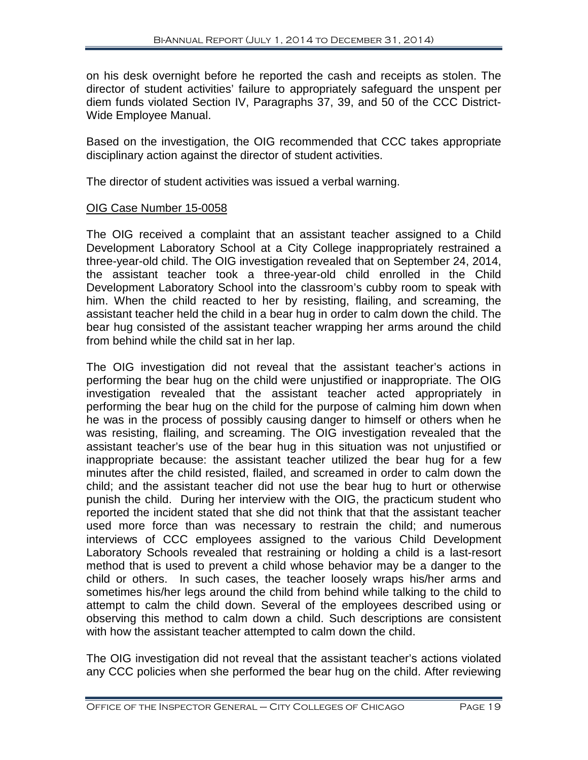on his desk overnight before he reported the cash and receipts as stolen. The director of student activities' failure to appropriately safeguard the unspent per diem funds violated Section IV, Paragraphs 37, 39, and 50 of the CCC District-Wide Employee Manual.

Based on the investigation, the OIG recommended that CCC takes appropriate disciplinary action against the director of student activities.

The director of student activities was issued a verbal warning.

#### OIG Case Number 15-0058

The OIG received a complaint that an assistant teacher assigned to a Child Development Laboratory School at a City College inappropriately restrained a three-year-old child. The OIG investigation revealed that on September 24, 2014, the assistant teacher took a three-year-old child enrolled in the Child Development Laboratory School into the classroom's cubby room to speak with him. When the child reacted to her by resisting, flailing, and screaming, the assistant teacher held the child in a bear hug in order to calm down the child. The bear hug consisted of the assistant teacher wrapping her arms around the child from behind while the child sat in her lap.

The OIG investigation did not reveal that the assistant teacher's actions in performing the bear hug on the child were unjustified or inappropriate. The OIG investigation revealed that the assistant teacher acted appropriately in performing the bear hug on the child for the purpose of calming him down when he was in the process of possibly causing danger to himself or others when he was resisting, flailing, and screaming. The OIG investigation revealed that the assistant teacher's use of the bear hug in this situation was not unjustified or inappropriate because: the assistant teacher utilized the bear hug for a few minutes after the child resisted, flailed, and screamed in order to calm down the child; and the assistant teacher did not use the bear hug to hurt or otherwise punish the child. During her interview with the OIG, the practicum student who reported the incident stated that she did not think that that the assistant teacher used more force than was necessary to restrain the child; and numerous interviews of CCC employees assigned to the various Child Development Laboratory Schools revealed that restraining or holding a child is a last-resort method that is used to prevent a child whose behavior may be a danger to the child or others. In such cases, the teacher loosely wraps his/her arms and sometimes his/her legs around the child from behind while talking to the child to attempt to calm the child down. Several of the employees described using or observing this method to calm down a child. Such descriptions are consistent with how the assistant teacher attempted to calm down the child.

The OIG investigation did not reveal that the assistant teacher's actions violated any CCC policies when she performed the bear hug on the child. After reviewing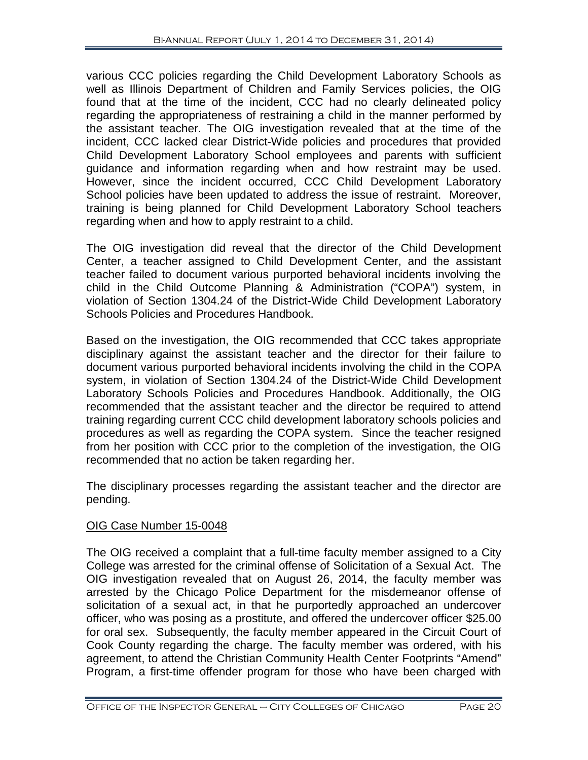various CCC policies regarding the Child Development Laboratory Schools as well as Illinois Department of Children and Family Services policies, the OIG found that at the time of the incident, CCC had no clearly delineated policy regarding the appropriateness of restraining a child in the manner performed by the assistant teacher. The OIG investigation revealed that at the time of the incident, CCC lacked clear District-Wide policies and procedures that provided Child Development Laboratory School employees and parents with sufficient guidance and information regarding when and how restraint may be used. However, since the incident occurred, CCC Child Development Laboratory School policies have been updated to address the issue of restraint. Moreover, training is being planned for Child Development Laboratory School teachers regarding when and how to apply restraint to a child.

The OIG investigation did reveal that the director of the Child Development Center, a teacher assigned to Child Development Center, and the assistant teacher failed to document various purported behavioral incidents involving the child in the Child Outcome Planning & Administration ("COPA") system, in violation of Section 1304.24 of the District-Wide Child Development Laboratory Schools Policies and Procedures Handbook.

Based on the investigation, the OIG recommended that CCC takes appropriate disciplinary against the assistant teacher and the director for their failure to document various purported behavioral incidents involving the child in the COPA system, in violation of Section 1304.24 of the District-Wide Child Development Laboratory Schools Policies and Procedures Handbook. Additionally, the OIG recommended that the assistant teacher and the director be required to attend training regarding current CCC child development laboratory schools policies and procedures as well as regarding the COPA system. Since the teacher resigned from her position with CCC prior to the completion of the investigation, the OIG recommended that no action be taken regarding her.

The disciplinary processes regarding the assistant teacher and the director are pending.

# OIG Case Number 15-0048

The OIG received a complaint that a full-time faculty member assigned to a City College was arrested for the criminal offense of Solicitation of a Sexual Act. The OIG investigation revealed that on August 26, 2014, the faculty member was arrested by the Chicago Police Department for the misdemeanor offense of solicitation of a sexual act, in that he purportedly approached an undercover officer, who was posing as a prostitute, and offered the undercover officer \$25.00 for oral sex. Subsequently, the faculty member appeared in the Circuit Court of Cook County regarding the charge. The faculty member was ordered, with his agreement, to attend the Christian Community Health Center Footprints "Amend" Program, a first-time offender program for those who have been charged with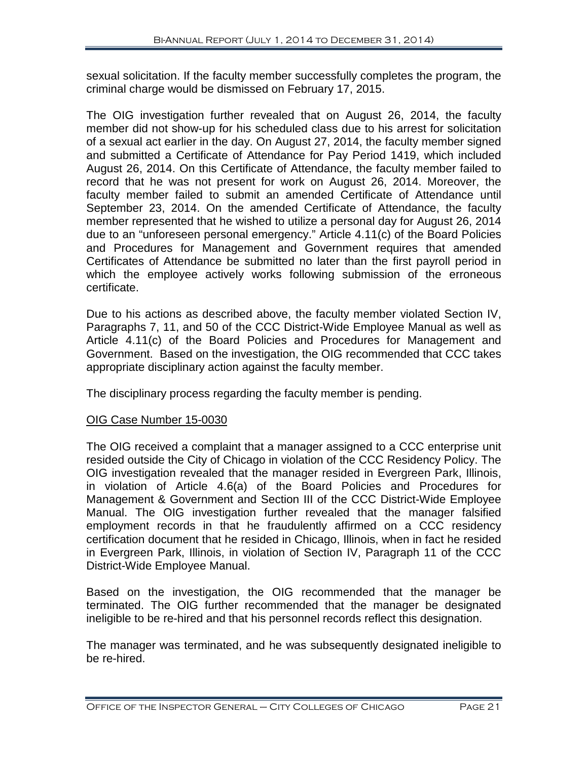sexual solicitation. If the faculty member successfully completes the program, the criminal charge would be dismissed on February 17, 2015.

The OIG investigation further revealed that on August 26, 2014, the faculty member did not show-up for his scheduled class due to his arrest for solicitation of a sexual act earlier in the day. On August 27, 2014, the faculty member signed and submitted a Certificate of Attendance for Pay Period 1419, which included August 26, 2014. On this Certificate of Attendance, the faculty member failed to record that he was not present for work on August 26, 2014. Moreover, the faculty member failed to submit an amended Certificate of Attendance until September 23, 2014. On the amended Certificate of Attendance, the faculty member represented that he wished to utilize a personal day for August 26, 2014 due to an "unforeseen personal emergency." Article 4.11(c) of the Board Policies and Procedures for Management and Government requires that amended Certificates of Attendance be submitted no later than the first payroll period in which the employee actively works following submission of the erroneous certificate.

Due to his actions as described above, the faculty member violated Section IV, Paragraphs 7, 11, and 50 of the CCC District-Wide Employee Manual as well as Article 4.11(c) of the Board Policies and Procedures for Management and Government. Based on the investigation, the OIG recommended that CCC takes appropriate disciplinary action against the faculty member.

The disciplinary process regarding the faculty member is pending.

# OIG Case Number 15-0030

The OIG received a complaint that a manager assigned to a CCC enterprise unit resided outside the City of Chicago in violation of the CCC Residency Policy. The OIG investigation revealed that the manager resided in Evergreen Park, Illinois, in violation of Article 4.6(a) of the Board Policies and Procedures for Management & Government and Section III of the CCC District-Wide Employee Manual. The OIG investigation further revealed that the manager falsified employment records in that he fraudulently affirmed on a CCC residency certification document that he resided in Chicago, Illinois, when in fact he resided in Evergreen Park, Illinois, in violation of Section IV, Paragraph 11 of the CCC District-Wide Employee Manual.

Based on the investigation, the OIG recommended that the manager be terminated. The OIG further recommended that the manager be designated ineligible to be re-hired and that his personnel records reflect this designation.

The manager was terminated, and he was subsequently designated ineligible to be re-hired.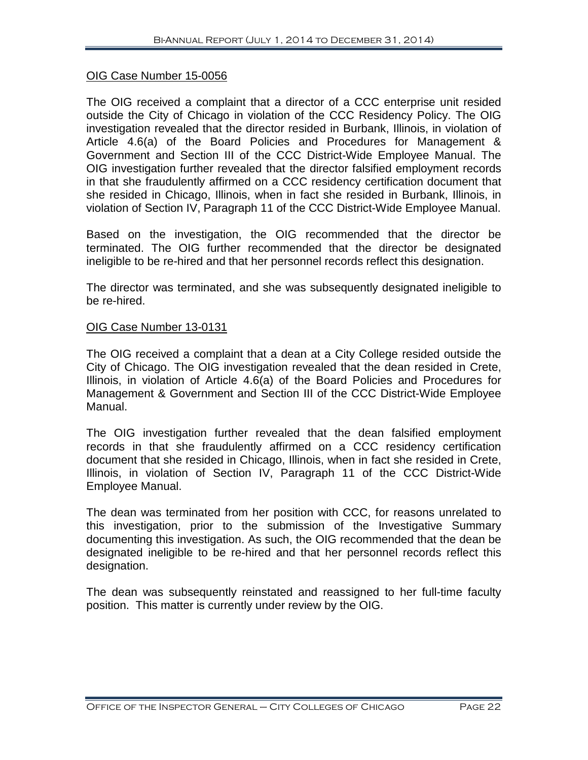### OIG Case Number 15-0056

The OIG received a complaint that a director of a CCC enterprise unit resided outside the City of Chicago in violation of the CCC Residency Policy. The OIG investigation revealed that the director resided in Burbank, Illinois, in violation of Article 4.6(a) of the Board Policies and Procedures for Management & Government and Section III of the CCC District-Wide Employee Manual. The OIG investigation further revealed that the director falsified employment records in that she fraudulently affirmed on a CCC residency certification document that she resided in Chicago, Illinois, when in fact she resided in Burbank, Illinois, in violation of Section IV, Paragraph 11 of the CCC District-Wide Employee Manual.

Based on the investigation, the OIG recommended that the director be terminated. The OIG further recommended that the director be designated ineligible to be re-hired and that her personnel records reflect this designation.

The director was terminated, and she was subsequently designated ineligible to be re-hired.

### OIG Case Number 13-0131

The OIG received a complaint that a dean at a City College resided outside the City of Chicago. The OIG investigation revealed that the dean resided in Crete, Illinois, in violation of Article 4.6(a) of the Board Policies and Procedures for Management & Government and Section III of the CCC District-Wide Employee Manual.

The OIG investigation further revealed that the dean falsified employment records in that she fraudulently affirmed on a CCC residency certification document that she resided in Chicago, Illinois, when in fact she resided in Crete, Illinois, in violation of Section IV, Paragraph 11 of the CCC District-Wide Employee Manual.

The dean was terminated from her position with CCC, for reasons unrelated to this investigation, prior to the submission of the Investigative Summary documenting this investigation. As such, the OIG recommended that the dean be designated ineligible to be re-hired and that her personnel records reflect this designation.

The dean was subsequently reinstated and reassigned to her full-time faculty position. This matter is currently under review by the OIG.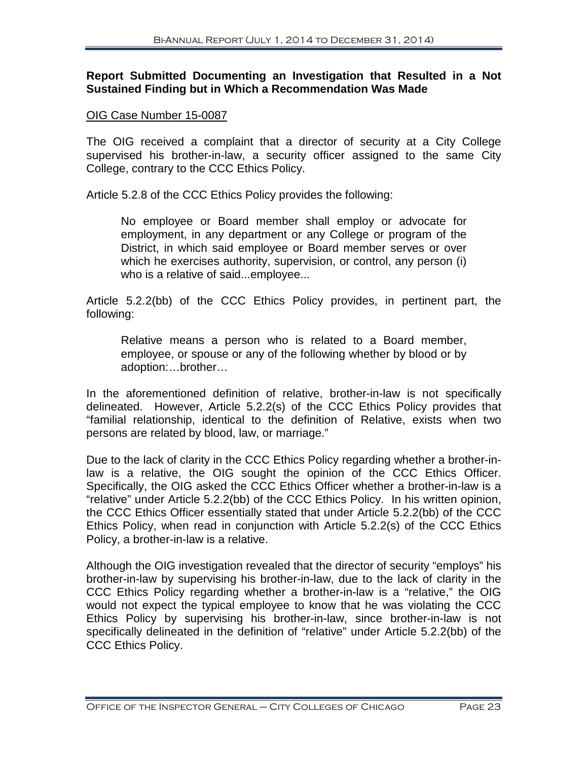#### **Report Submitted Documenting an Investigation that Resulted in a Not Sustained Finding but in Which a Recommendation Was Made**

#### OIG Case Number 15-0087

The OIG received a complaint that a director of security at a City College supervised his brother-in-law, a security officer assigned to the same City College, contrary to the CCC Ethics Policy.

Article 5.2.8 of the CCC Ethics Policy provides the following:

No employee or Board member shall employ or advocate for employment, in any department or any College or program of the District, in which said employee or Board member serves or over which he exercises authority, supervision, or control, any person (i) who is a relative of said...employee...

Article 5.2.2(bb) of the CCC Ethics Policy provides, in pertinent part, the following:

Relative means a person who is related to a Board member, employee, or spouse or any of the following whether by blood or by adoption:…brother…

In the aforementioned definition of relative, brother-in-law is not specifically delineated. However, Article 5.2.2(s) of the CCC Ethics Policy provides that "familial relationship, identical to the definition of Relative, exists when two persons are related by blood, law, or marriage."

Due to the lack of clarity in the CCC Ethics Policy regarding whether a brother-inlaw is a relative, the OIG sought the opinion of the CCC Ethics Officer. Specifically, the OIG asked the CCC Ethics Officer whether a brother-in-law is a "relative" under Article 5.2.2(bb) of the CCC Ethics Policy. In his written opinion, the CCC Ethics Officer essentially stated that under Article 5.2.2(bb) of the CCC Ethics Policy, when read in conjunction with Article 5.2.2(s) of the CCC Ethics Policy, a brother-in-law is a relative.

Although the OIG investigation revealed that the director of security "employs" his brother-in-law by supervising his brother-in-law, due to the lack of clarity in the CCC Ethics Policy regarding whether a brother-in-law is a "relative," the OIG would not expect the typical employee to know that he was violating the CCC Ethics Policy by supervising his brother-in-law, since brother-in-law is not specifically delineated in the definition of "relative" under Article 5.2.2(bb) of the CCC Ethics Policy.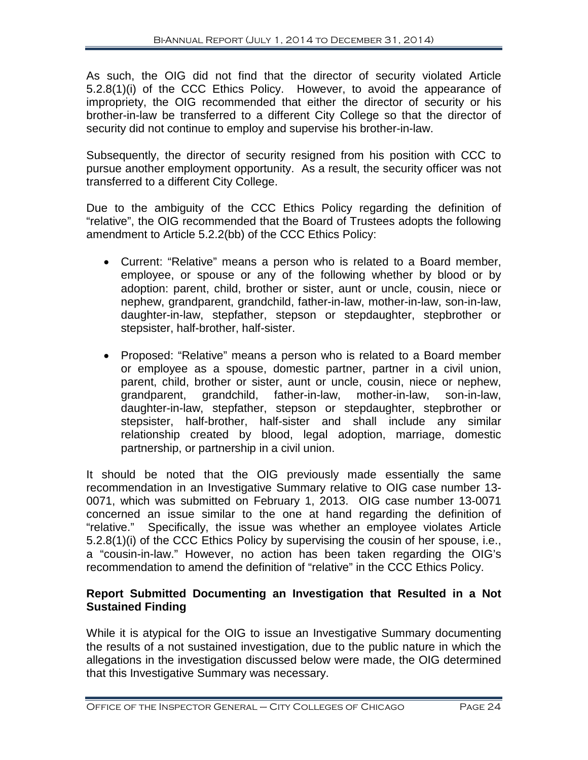As such, the OIG did not find that the director of security violated Article 5.2.8(1)(i) of the CCC Ethics Policy. However, to avoid the appearance of impropriety, the OIG recommended that either the director of security or his brother-in-law be transferred to a different City College so that the director of security did not continue to employ and supervise his brother-in-law.

Subsequently, the director of security resigned from his position with CCC to pursue another employment opportunity. As a result, the security officer was not transferred to a different City College.

Due to the ambiguity of the CCC Ethics Policy regarding the definition of "relative", the OIG recommended that the Board of Trustees adopts the following amendment to Article 5.2.2(bb) of the CCC Ethics Policy:

- Current: "Relative" means a person who is related to a Board member, employee, or spouse or any of the following whether by blood or by adoption: parent, child, brother or sister, aunt or uncle, cousin, niece or nephew, grandparent, grandchild, father-in-law, mother-in-law, son-in-law, daughter-in-law, stepfather, stepson or stepdaughter, stepbrother or stepsister, half-brother, half-sister.
- Proposed: "Relative" means a person who is related to a Board member or employee as a spouse, domestic partner, partner in a civil union, parent, child, brother or sister, aunt or uncle, cousin, niece or nephew, grandparent, grandchild, father-in-law, mother-in-law, son-in-law, daughter-in-law, stepfather, stepson or stepdaughter, stepbrother or stepsister, half-brother, half-sister and shall include any similar relationship created by blood, legal adoption, marriage, domestic partnership, or partnership in a civil union.

It should be noted that the OIG previously made essentially the same recommendation in an Investigative Summary relative to OIG case number 13- 0071, which was submitted on February 1, 2013. OIG case number 13-0071 concerned an issue similar to the one at hand regarding the definition of "relative." Specifically, the issue was whether an employee violates Article 5.2.8(1)(i) of the CCC Ethics Policy by supervising the cousin of her spouse, i.e., a "cousin-in-law." However, no action has been taken regarding the OIG's recommendation to amend the definition of "relative" in the CCC Ethics Policy.

# **Report Submitted Documenting an Investigation that Resulted in a Not Sustained Finding**

While it is atypical for the OIG to issue an Investigative Summary documenting the results of a not sustained investigation, due to the public nature in which the allegations in the investigation discussed below were made, the OIG determined that this Investigative Summary was necessary.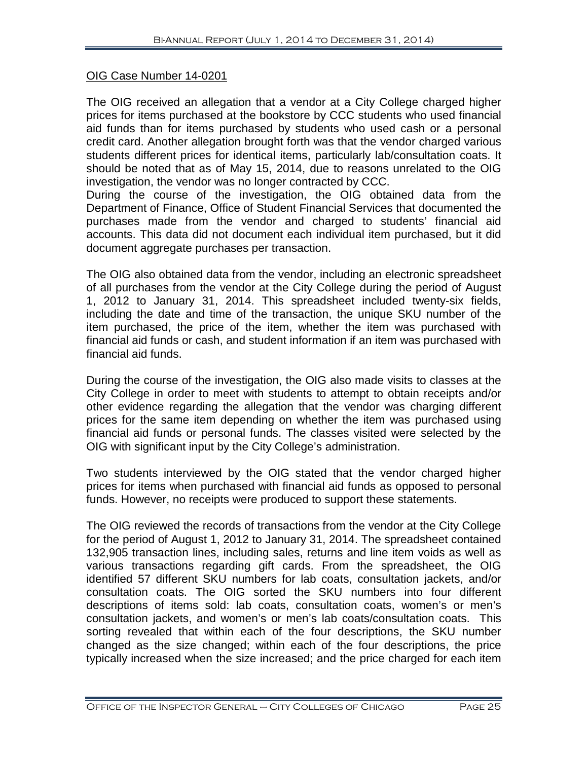# OIG Case Number 14-0201

The OIG received an allegation that a vendor at a City College charged higher prices for items purchased at the bookstore by CCC students who used financial aid funds than for items purchased by students who used cash or a personal credit card. Another allegation brought forth was that the vendor charged various students different prices for identical items, particularly lab/consultation coats. It should be noted that as of May 15, 2014, due to reasons unrelated to the OIG investigation, the vendor was no longer contracted by CCC.

During the course of the investigation, the OIG obtained data from the Department of Finance, Office of Student Financial Services that documented the purchases made from the vendor and charged to students' financial aid accounts. This data did not document each individual item purchased, but it did document aggregate purchases per transaction.

The OIG also obtained data from the vendor, including an electronic spreadsheet of all purchases from the vendor at the City College during the period of August 1, 2012 to January 31, 2014. This spreadsheet included twenty-six fields, including the date and time of the transaction, the unique SKU number of the item purchased, the price of the item, whether the item was purchased with financial aid funds or cash, and student information if an item was purchased with financial aid funds.

During the course of the investigation, the OIG also made visits to classes at the City College in order to meet with students to attempt to obtain receipts and/or other evidence regarding the allegation that the vendor was charging different prices for the same item depending on whether the item was purchased using financial aid funds or personal funds. The classes visited were selected by the OIG with significant input by the City College's administration.

Two students interviewed by the OIG stated that the vendor charged higher prices for items when purchased with financial aid funds as opposed to personal funds. However, no receipts were produced to support these statements.

The OIG reviewed the records of transactions from the vendor at the City College for the period of August 1, 2012 to January 31, 2014. The spreadsheet contained 132,905 transaction lines, including sales, returns and line item voids as well as various transactions regarding gift cards. From the spreadsheet, the OIG identified 57 different SKU numbers for lab coats, consultation jackets, and/or consultation coats. The OIG sorted the SKU numbers into four different descriptions of items sold: lab coats, consultation coats, women's or men's consultation jackets, and women's or men's lab coats/consultation coats. This sorting revealed that within each of the four descriptions, the SKU number changed as the size changed; within each of the four descriptions, the price typically increased when the size increased; and the price charged for each item